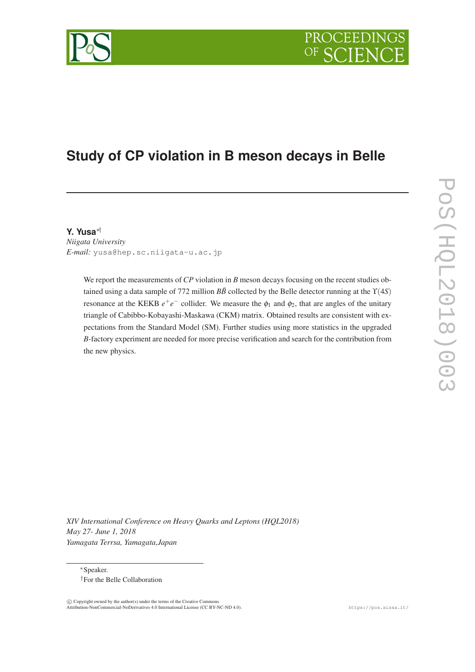

# **Study of CP violation in B meson decays in Belle**

**Y. Yusa**∗†

*Niigata University E-mail:* yusa@hep.sc.niigata-u.ac.jp

> We report the measurements of *CP* violation in *B* meson decays focusing on the recent studies obtained using a data sample of 772 million  $B\bar{B}$  collected by the Belle detector running at the  $\Upsilon(4S)$ resonance at the KEKB  $e^+e^-$  collider. We measure the  $\phi_1$  and  $\phi_2$ , that are angles of the unitary triangle of Cabibbo-Kobayashi-Maskawa (CKM) matrix. Obtained results are consistent with expectations from the Standard Model (SM). Further studies using more statistics in the upgraded *B*-factory experiment are needed for more precise verification and search for the contribution from the new physics.

*XIV International Conference on Heavy Quarks and Leptons (HQL2018) May 27- June 1, 2018 Yamagata Terrsa, Yamagata,Japan*

<sup>∗</sup>Speaker. †For the Belle Collaboration

 $\overline{c}$  Copyright owned by the author(s) under the terms of the Creative Commons Attribution-NonCommercial-NoDerivatives 4.0 International License (CC BY-NC-ND 4.0). https://pos.sissa.it/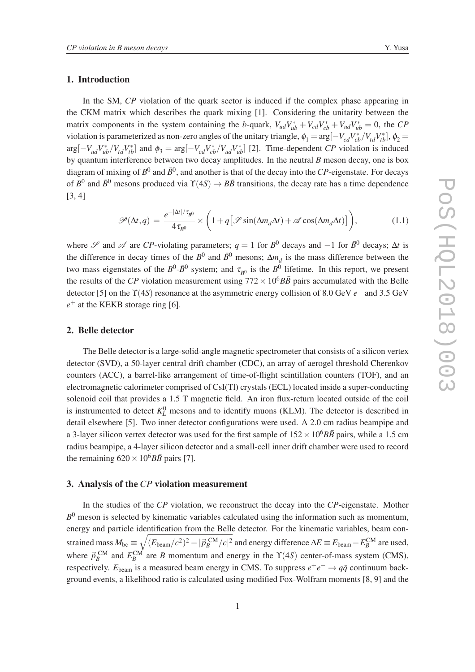## 1. Introduction

In the SM, *CP* violation of the quark sector is induced if the complex phase appearing in the CKM matrix which describes the quark mixing [1]. Considering the unitarity between the matrix components in the system containing the *b*-quark,  $V_{ud}V_{ub}^* + V_{cd}V_{cb}^* + V_{ud}V_{ub}^* = 0$ , the *CP* violation is parameterized as non-zero angles of the unitary triangle,  $\phi_1 = \arg[-V_{cd}V_{cb}^*/V_{td}V_{tb}^*], \phi_2 =$  $\arg[-V_{ud}V_{ub}^*/V_{td}V_{tb}^*]$  and  $\phi_3 = \arg[-V_{cd}V_{cb}^*/V_{ud}V_{ub}^*]$  [2]. Time-dependent *CP* violation is induced by quantum interference between two decay amplitudes. In the neutral *B* meson decay, one is box diagram of mixing of  $B^0$  and  $\bar{B}^0$ , and another is that of the decay into the *CP*-eigenstate. For decays of  $B^0$  and  $\bar{B}^0$  mesons produced via  $\Upsilon(4S) \to B\bar{B}$  transitions, the decay rate has a time dependence [3, 4]

$$
\mathscr{P}(\Delta t, q) = \frac{e^{-|\Delta t|/\tau_{B^0}}}{4\tau_{B^0}} \times \left(1 + q\left[\mathscr{S}\sin(\Delta m_d \Delta t) + \mathscr{A}\cos(\Delta m_d \Delta t)\right]\right),\tag{1.1}
$$

where  $\mathscr S$  and  $\mathscr A$  are *CP*-violating parameters;  $q = 1$  for  $B^0$  decays and  $-1$  for  $\bar{B}^0$  decays;  $\Delta t$  is the difference in decay times of the  $B^0$  and  $\bar{B}^0$  mesons;  $\Delta m_d$  is the mass difference between the two mass eigenstates of the  $B^0$ - $\bar{B}^0$  system; and  $\tau_{B^0}$  is the  $B^0$  lifetime. In this report, we present the results of the *CP* violation measurement using  $772 \times 10^6 B\overline{B}$  pairs accumulated with the Belle detector [5] on the ϒ(4*S*) resonance at the asymmetric energy collision of 8.0 GeV *e* <sup>−</sup> and 3.5 GeV *e* <sup>+</sup> at the KEKB storage ring [6].

### 2. Belle detector

The Belle detector is a large-solid-angle magnetic spectrometer that consists of a silicon vertex detector (SVD), a 50-layer central drift chamber (CDC), an array of aerogel threshold Cherenkov counters (ACC), a barrel-like arrangement of time-of-flight scintillation counters (TOF), and an electromagnetic calorimeter comprised of CsI(Tl) crystals (ECL) located inside a super-conducting solenoid coil that provides a 1.5 T magnetic field. An iron flux-return located outside of the coil is instrumented to detect  $K_L^0$  mesons and to identify muons (KLM). The detector is described in detail elsewhere [5]. Two inner detector configurations were used. A 2.0 cm radius beampipe and a 3-layer silicon vertex detector was used for the first sample of  $152 \times 10^6 B\bar{B}$  pairs, while a 1.5 cm radius beampipe, a 4-layer silicon detector and a small-cell inner drift chamber were used to record the remaining  $620 \times 10^6 B\overline{B}$  pairs [7].

# 3. Analysis of the *CP* violation measurement

In the studies of the *CP* violation, we reconstruct the decay into the *CP*-eigenstate. Mother *B* <sup>0</sup> meson is selected by kinematic variables calculated using the information such as momentum, energy and particle identification from the Belle detector. For the kinematic variables, beam constrained mass  $M_{\rm bc}\equiv\sqrt{(E_{\rm beam}/c^2)^2-|\vec{p}_B^{\rm \,CM}/c|^2}$  and energy difference  $\Delta E\equiv E_{\rm beam}-E_B^{\rm \,CM}}$  are used, where  $\vec{p}_B^{\text{CM}}$  and  $E_B^{\text{CM}}$  are *B* momentum and energy in the  $\Upsilon(4S)$  center-of-mass system (CMS), respectively.  $E_{\text{beam}}$  is a measured beam energy in CMS. To suppress  $e^+e^- \rightarrow q\bar{q}$  continuum background events, a likelihood ratio is calculated using modified Fox-Wolfram moments [8, 9] and the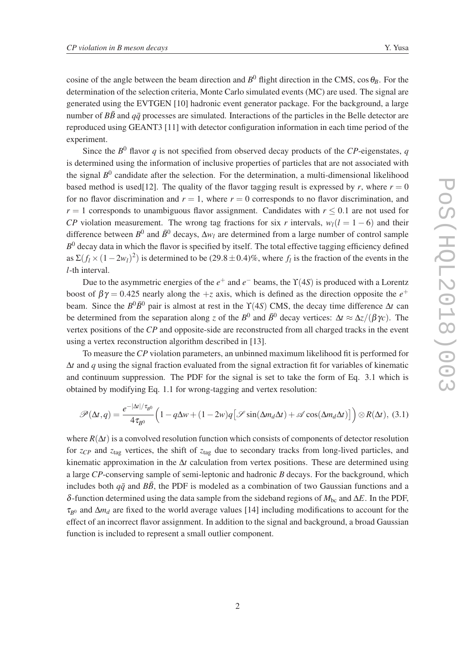cosine of the angle between the beam direction and  $B^0$  flight direction in the CMS, cos  $\theta_B$ . For the determination of the selection criteria, Monte Carlo simulated events (MC) are used. The signal are generated using the EVTGEN [10] hadronic event generator package. For the background, a large number of  $B\bar{B}$  and  $q\bar{q}$  processes are simulated. Interactions of the particles in the Belle detector are reproduced using GEANT3 [11] with detector configuration information in each time period of the experiment.

Since the  $B^0$  flavor  $q$  is not specified from observed decay products of the  $CP$ -eigenstates,  $q$ is determined using the information of inclusive properties of particles that are not associated with the signal  $B^0$  candidate after the selection. For the determination, a multi-dimensional likelihood based method is used[12]. The quality of the flavor tagging result is expressed by *r*, where  $r = 0$ for no flavor discrimination and  $r = 1$ , where  $r = 0$  corresponds to no flavor discrimination, and  $r = 1$  corresponds to unambiguous flavor assignment. Candidates with  $r \le 0.1$  are not used for *CP* violation measurement. The wrong tag fractions for six *r* intervals,  $w_l(l = 1 - 6)$  and their difference between  $B^0$  and  $\bar{B}^0$  decays,  $\Delta w_l$  are determined from a large number of control sample *B* <sup>0</sup> decay data in which the flavor is specified by itself. The total effective tagging efficiency defined as  $\Sigma(f_l \times (1-2w_l)^2)$  is determined to be (29.8 ± 0.4)%, where  $f_l$  is the fraction of the events in the *l*-th interval.

Due to the asymmetric energies of the *e*<sup>+</sup> and *e*<sup>−</sup> beams, the  $\Upsilon$ (4*S*) is produced with a Lorentz boost of  $\beta\gamma = 0.425$  nearly along the  $+z$  axis, which is defined as the direction opposite the  $e^+$ beam. Since the  $B^0 \bar{B}^0$  pair is almost at rest in the  $\Upsilon(4S)$  CMS, the decay time difference  $\Delta t$  can be determined from the separation along *z* of the  $B^0$  and  $\bar{B}^0$  decay vertices:  $\Delta t \approx \Delta z/(\beta \gamma_c)$ . The vertex positions of the *CP* and opposite-side are reconstructed from all charged tracks in the event using a vertex reconstruction algorithm described in [13].

To measure the*CP* violation parameters, an unbinned maximum likelihood fit is performed for ∆*t* and *q* using the signal fraction evaluated from the signal extraction fit for variables of kinematic and continuum suppression. The PDF for the signal is set to take the form of Eq. 3.1 which is obtained by modifying Eq. 1.1 for wrong-tagging and vertex resolution:

$$
\mathscr{P}(\Delta t, q) = \frac{e^{-|\Delta t|/\tau_{B^0}}}{4\tau_{B^0}} \left(1 - q\Delta w + (1 - 2w)q \left[\mathscr{S}\sin(\Delta m_d \Delta t) + \mathscr{A}\cos(\Delta m_d \Delta t)\right]\right) \otimes R(\Delta t), (3.1)
$$

where  $R(\Delta t)$  is a convolved resolution function which consists of components of detector resolution for *zCP* and *z*tag vertices, the shift of *z*tag due to secondary tracks from long-lived particles, and kinematic approximation in the ∆*t* calculation from vertex positions. These are determined using a large *CP*-conserving sample of semi-leptonic and hadronic *B* decays. For the background, which includes both  $q\bar{q}$  and  $B\bar{B}$ , the PDF is modeled as a combination of two Gaussian functions and a δ-function determined using the data sample from the sideband regions of  $M_{bc}$  and  $ΔE$ . In the PDF,  $\tau_{B0}$  and  $\Delta m_d$  are fixed to the world average values [14] including modifications to account for the effect of an incorrect flavor assignment. In addition to the signal and background, a broad Gaussian function is included to represent a small outlier component.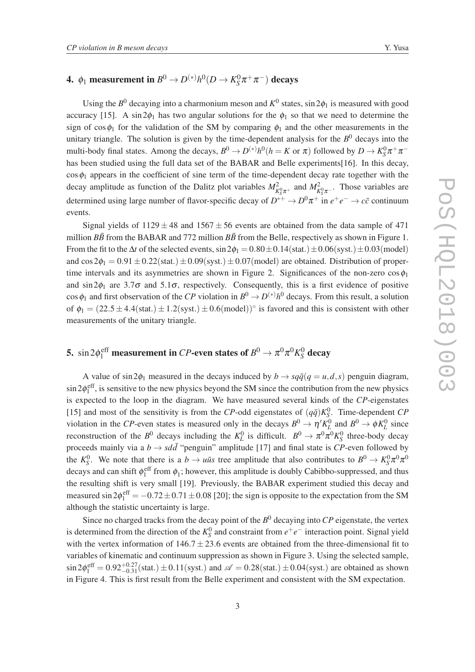#### 4.  $\phi_1$  measurement in  $B^0 \to D^{(*)} h^0 (D \to K^0_S)$  $^{0}_{S}\pi^{+}\pi^{-})$  decays

Using the  $B^0$  decaying into a charmonium meson and  $K^0$  states,  $\sin 2\phi_1$  is measured with good accuracy [15]. A sin  $2\phi_1$  has two angular solutions for the  $\phi_1$  so that we need to determine the sign of cos $\phi_1$  for the validation of the SM by comparing  $\phi_1$  and the other measurements in the unitary triangle. The solution is given by the time-dependent analysis for the  $B^0$  decays into the multi-body final states. Among the decays,  $B^0 \to D^{(*)}h^0(h = K \text{ or } \pi)$  followed by  $D \to K_S^0 \pi^+ \pi^$ has been studied using the full data set of the BABAR and Belle experiments[16]. In this decay,  $\cos \phi_1$  appears in the coefficient of sine term of the time-dependent decay rate together with the decay amplitude as function of the Dalitz plot variables  $M_{K_S^0\pi^+}^2$  and  $M_{K_S^0\pi^-}^2$ . Those variables are determined using large number of flavor-specific decay of  $D^{*+} \to D^0 \pi^+$  in  $e^+e^- \to c\bar{c}$  continuum events.

Signal yields of  $1129 \pm 48$  and  $1567 \pm 56$  events are obtained from the data sample of 471 million  $B\bar{B}$  from the BABAR and 772 million  $B\bar{B}$  from the Belle, respectively as shown in Figure 1. From the fit to the  $\Delta t$  of the selected events,  $\sin 2\phi_1 = 0.80 \pm 0.14(\text{stat.}) \pm 0.06(\text{syst.}) \pm 0.03(\text{model})$ and  $\cos 2\phi_1 = 0.91 \pm 0.22$ (stat.)  $\pm 0.09$ (syst.)  $\pm 0.07$ (model) are obtained. Distribution of propertime intervals and its asymmetries are shown in Figure 2. Significances of the non-zero  $\cos \phi_1$ and  $\sin 2\phi_1$  are 3.7 $\sigma$  and 5.1 $\sigma$ , respectively. Consequently, this is a first evidence of positive cos  $\phi_1$  and first observation of the *CP* violation in  $B^0 \to D^{(*)}h^0$  decays. From this result, a solution of  $\phi_1 = (22.5 \pm 4.4 \text{(stat.)} \pm 1.2 \text{(syst.)} \pm 0.6 \text{(model)})^{\circ}$  is favored and this is consistent with other measurements of the unitary triangle.

#### 5.  $\sin 2\phi_1^{\rm eff}$  measurement in *CP*-even states of  $B^0 \to \pi^0\pi^0 K^0_S$ *S* decay

A value of  $\sin 2\phi_1$  measured in the decays induced by  $b \rightarrow s q \bar{q} (q = u, d, s)$  penguin diagram,  $\sin 2\phi_1^{\text{eff}}$ , is sensitive to the new physics beyond the SM since the contribution from the new physics is expected to the loop in the diagram. We have measured several kinds of the *CP*-eigenstates [15] and most of the sensitivity is from the *CP*-odd eigenstates of  $(q\bar{q})K_S^0$ . Time-dependent *CP* violation in the *CP*-even states is measured only in the decays  $B^0 \to \eta' K_L^0$  and  $B^0 \to \phi K_L^0$  since reconstruction of the  $B^0$  decays including the  $K^0_L$  is difficult.  $B^0 \to \pi^0 \pi^0 K^0_S$  three-body decay proceeds mainly via a  $b \rightarrow s d \bar{d}$  "penguin" amplitude [17] and final state is *CP*-even followed by the  $K_S^0$ . We note that there is a  $b \to u\bar{u}s$  tree amplitude that also contributes to  $B^0 \to K_S^0 \pi^0 \pi^0$ decays and can shift  $\phi_1^{\text{eff}}$  from  $\phi_1$ ; however, this amplitude is doubly Cabibbo-suppressed, and thus the resulting shift is very small [19]. Previously, the BABAR experiment studied this decay and measured  $\sin 2\phi_1^{\text{eff}} = -0.72 \pm 0.71 \pm 0.08$  [20]; the sign is opposite to the expectation from the SM although the statistic uncertainty is large.

Since no charged tracks from the decay point of the  $B^0$  decaying into  $\overline{CP}$  eigenstate, the vertex is determined from the direction of the  $K_S^0$  and constraint from  $e^+e^-$  interaction point. Signal yield with the vertex information of  $146.7 \pm 23.6$  events are obtained from the three-dimensional fit to variables of kinematic and continuum suppression as shown in Figure 3. Using the selected sample,  $\sin 2\phi_1^{\text{eff}} = 0.92^{+0.27}_{-0.31}$ (stat.)  $\pm 0.11$ (syst.) and  $\mathscr{A} = 0.28$ (stat.)  $\pm 0.04$ (syst.) are obtained as shown in Figure 4. This is first result from the Belle experiment and consistent with the SM expectation.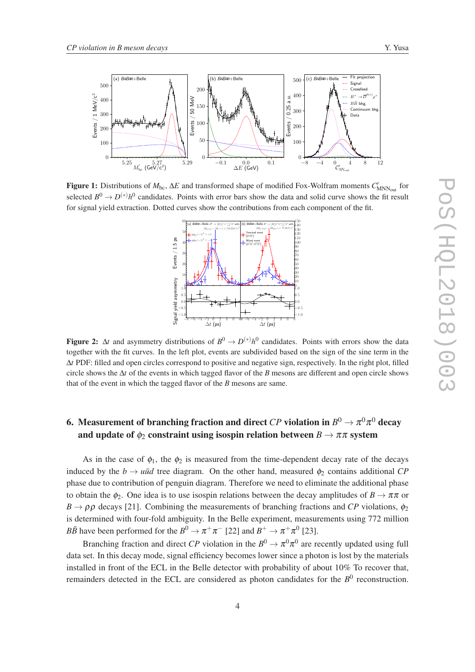

**Figure 1:** Distributions of *M*<sub>bc</sub>, Δ*E* and transformed shape of modified Fox-Wolfram moments  $C'_{MNN_{out}}$  for selected  $B^0 \to D^{(*)}h^0$  candidates. Points with error bars show the data and solid curve shows the fit result for signal yield extraction. Dotted curves show the contributions from each component of the fit.



Figure 2:  $\Delta t$  and asymmetry distributions of  $B^0 \to D^{(*)}h^0$  candidates. Points with errors show the data together with the fit curves. In the left plot, events are subdivided based on the sign of the sine term in the ∆*t* PDF: filled and open circles correspond to positive and negative sign, respectively. In the right plot, filled circle shows the ∆*t* of the events in which tagged flavor of the *B* mesons are different and open circle shows that of the event in which the tagged flavor of the *B* mesons are same.

# 6. Measurement of branching fraction and direct  $CP$  violation in  $B^0 \to \pi^0 \pi^0$  decay and update of  $\phi_2$  constraint using isospin relation between  $B \to \pi \pi$  system

As in the case of  $\phi_1$ , the  $\phi_2$  is measured from the time-dependent decay rate of the decays induced by the  $b \rightarrow u\bar{u}d$  tree diagram. On the other hand, measured  $\phi_2$  contains additional *CP* phase due to contribution of penguin diagram. Therefore we need to eliminate the additional phase to obtain the  $\phi_2$ . One idea is to use isospin relations between the decay amplitudes of  $B \to \pi \pi$  or  $B \to \rho \rho$  decays [21]. Combining the measurements of branching fractions and *CP* violations,  $\phi_2$ is determined with four-fold ambiguity. In the Belle experiment, measurements using 772 million *BB* have been performed for the  $B^0 \to \pi^+\pi^-$  [22] and  $B^+ \to \pi^+\pi^0$  [23].

Branching fraction and direct *CP* violation in the  $B^0 \to \pi^0 \pi^0$  are recently updated using full data set. In this decay mode, signal efficiency becomes lower since a photon is lost by the materials installed in front of the ECL in the Belle detector with probability of about 10% To recover that, remainders detected in the ECL are considered as photon candidates for the  $B<sup>0</sup>$  reconstruction.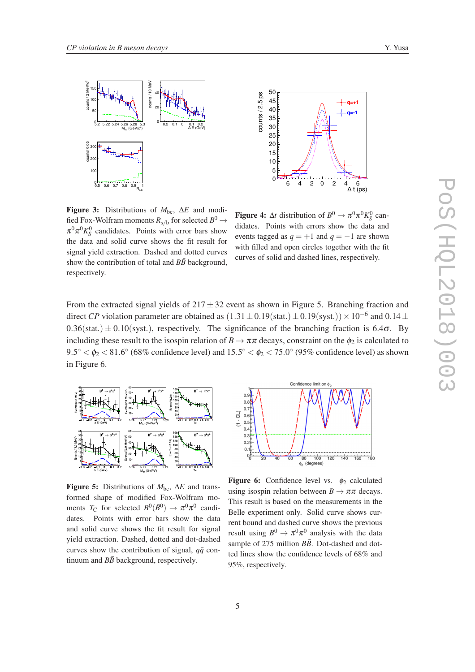



Figure 3: Distributions of  $M_{bc}$ ,  $\Delta E$  and modified Fox-Wolfram moments  $R_{\rm s/b}$  for selected  $B^0\to$  $\pi^0 \pi^0 K_S^0$  candidates. Points with error bars show the data and solid curve shows the fit result for signal yield extraction. Dashed and dotted curves show the contribution of total and  $B\bar{B}$  background, respectively.

**Figure 4:**  $\Delta t$  distribution of  $B^0 \to \pi^0 \pi^0 K_S^0$  candidates. Points with errors show the data and events tagged as  $q = +1$  and  $q = -1$  are shown with filled and open circles together with the fit curves of solid and dashed lines, respectively.

From the extracted signal yields of  $217 \pm 32$  event as shown in Figure 5. Branching fraction and direct *CP* violation parameter are obtained as  $(1.31 \pm 0.19(\text{stat.}) \pm 0.19(\text{syst.})) \times 10^{-6}$  and  $0.14 \pm$  $0.36(stat.) \pm 0.10(syst.)$ , respectively. The significance of the branching fraction is 6.4 $\sigma$ . By including these result to the isospin relation of  $B \to \pi\pi$  decays, constraint on the  $\phi_2$  is calculated to  $9.5^\circ < \phi_2 < 81.6^\circ$  (68% confidence level) and  $15.5^\circ < \phi_2 < 75.0^\circ$  (95% confidence level) as shown in Figure 6.



Figure 5: Distributions of  $M_{\text{bc}}$ ,  $\Delta E$  and transformed shape of modified Fox-Wolfram moments *T*<sub>C</sub> for selected  $B^0(\bar{B}^0) \rightarrow \pi^0 \pi^0$  candidates. Points with error bars show the data and solid curve shows the fit result for signal yield extraction. Dashed, dotted and dot-dashed curves show the contribution of signal,  $q\bar{q}$  continuum and  $B\bar{B}$  background, respectively.



**Figure 6:** Confidence level vs.  $\phi_2$  calculated using isospin relation between  $B \to \pi \pi$  decays. This result is based on the measurements in the Belle experiment only. Solid curve shows current bound and dashed curve shows the previous result using  $B^0 \to \pi^0 \pi^0$  analysis with the data sample of 275 million  $B\bar{B}$ . Dot-dashed and dotted lines show the confidence levels of 68% and 95%, respectively.